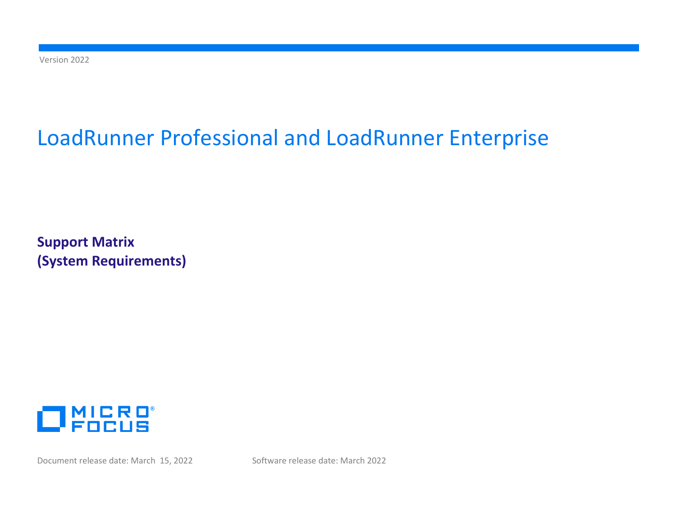Version 2022

# LoadRunner Professional and LoadRunner Enterprise

**Support Matrix (System Requirements)**



Document release date: March 15, 2022 Software release date: March 2022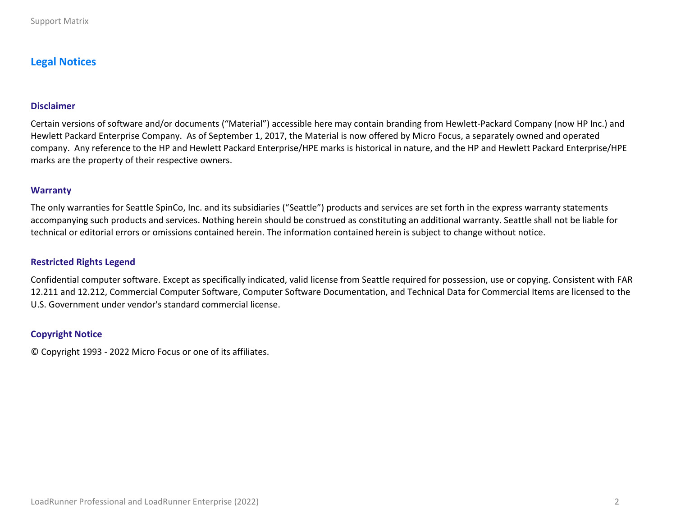# **Legal Notices**

#### **Disclaimer**

Certain versions of software and/or documents ("Material") accessible here may contain branding from Hewlett-Packard Company (now HP Inc.) and Hewlett Packard Enterprise Company. As of September 1, 2017, the Material is now offered by Micro Focus, a separately owned and operated company. Any reference to the HP and Hewlett Packard Enterprise/HPE marks is historical in nature, and the HP and Hewlett Packard Enterprise/HPE marks are the property of their respective owners.

#### **Warranty**

The only warranties for Seattle SpinCo, Inc. and its subsidiaries ("Seattle") products and services are set forth in the express warranty statements accompanying such products and services. Nothing herein should be construed as constituting an additional warranty. Seattle shall not be liable for technical or editorial errors or omissions contained herein. The information contained herein is subject to change without notice.

#### **Restricted Rights Legend**

Confidential computer software. Except as specifically indicated, valid license from Seattle required for possession, use or copying. Consistent with FAR 12.211 and 12.212, Commercial Computer Software, Computer Software Documentation, and Technical Data for Commercial Items are licensed to the U.S. Government under vendor's standard commercial license.

#### **Copyright Notice**

© Copyright 1993 - 2022 Micro Focus or one of its affiliates.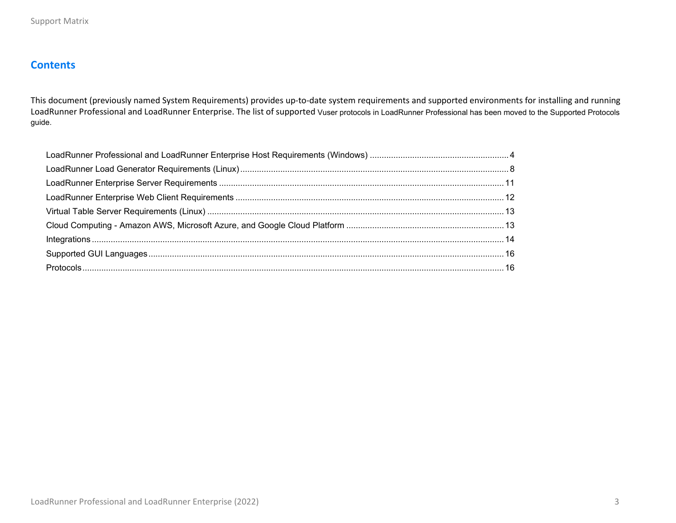# **Contents**

This document (previously named System Requirements) provides up-to-date system requirements and supported environments for installing and running LoadRunner Professional and LoadRunner Enterprise. The list of supported Vuser protocols in LoadRunner Professional has been moved to the Supported Protocols guide.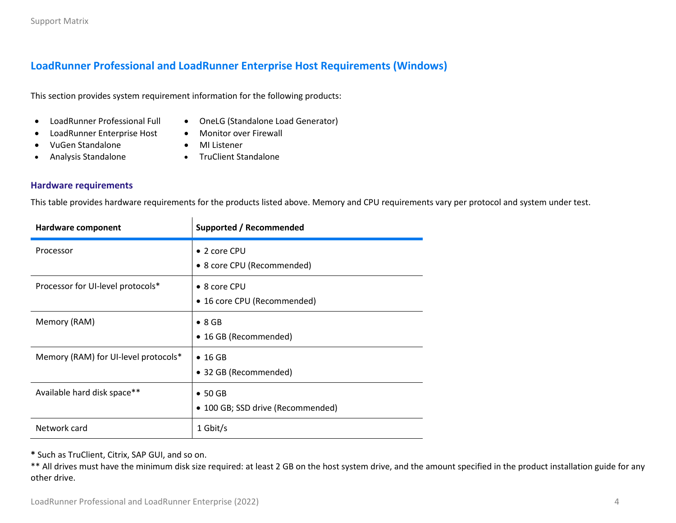# <span id="page-3-0"></span>**LoadRunner Professional and LoadRunner Enterprise Host Requirements (Windows)**

<span id="page-3-1"></span>This section provides system requirement information for the following products:

 $\mathbf{L}$ 

- LoadRunner Professional Full
- OneLG (Standalone Load Generator)
- LoadRunner Enterprise Host
- Monitor over Firewall • MI Listener
- VuGen Standalone
	- Analysis Standalone • TruClient Standalone
- **Hardware requirements**

This table provides hardware requirements for the products listed above. Memory and CPU requirements vary per protocol and system under test.

| Hardware component                   | <b>Supported / Recommended</b>                       |
|--------------------------------------|------------------------------------------------------|
| Processor                            | • 2 core CPU<br>• 8 core CPU (Recommended)           |
| Processor for UI-level protocols*    | $\bullet$ 8 core CPU<br>• 16 core CPU (Recommended)  |
| Memory (RAM)                         | $\bullet$ 8 GB<br>• 16 GB (Recommended)              |
| Memory (RAM) for UI-level protocols* | $\bullet$ 16 GB<br>• 32 GB (Recommended)             |
| Available hard disk space**          | $\bullet$ 50 GB<br>• 100 GB; SSD drive (Recommended) |
| Network card                         | 1 Gbit/s                                             |

**\*** Such as TruClient, Citrix, SAP GUI, and so on.

\*\* All drives must have the minimum disk size required: at least 2 GB on the host system drive, and the amount specified in the product installation guide for any other drive.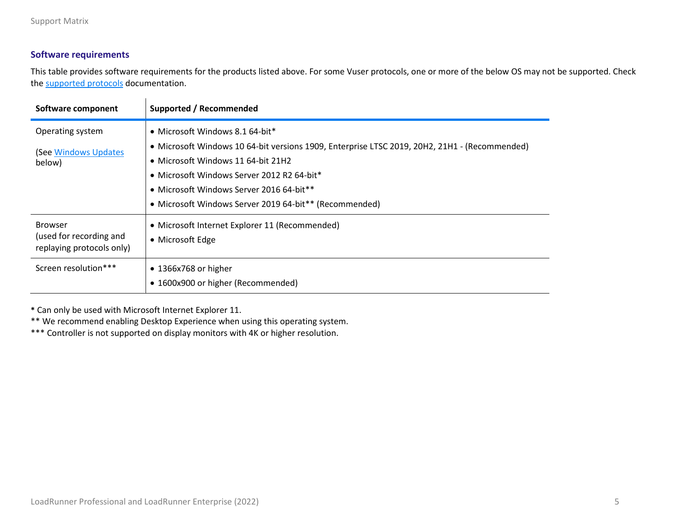## **Software requirements**

This table provides software requirements for the products listed above. For some Vuser protocols, one or more of the below OS may not be supported. Check the [supported protocols d](#page-15-1)ocumentation.

| Software component                                                     | Supported / Recommended                                                                                                                                                                                                                                                                                                    |
|------------------------------------------------------------------------|----------------------------------------------------------------------------------------------------------------------------------------------------------------------------------------------------------------------------------------------------------------------------------------------------------------------------|
| Operating system<br>(See Windows Updates<br>below)                     | • Microsoft Windows 8.1 64-bit*<br>• Microsoft Windows 10 64-bit versions 1909, Enterprise LTSC 2019, 20H2, 21H1 - (Recommended)<br>• Microsoft Windows 11 64-bit 21H2<br>• Microsoft Windows Server 2012 R2 64-bit*<br>• Microsoft Windows Server 2016 64-bit**<br>• Microsoft Windows Server 2019 64-bit** (Recommended) |
| <b>Browser</b><br>(used for recording and<br>replaying protocols only) | • Microsoft Internet Explorer 11 (Recommended)<br>• Microsoft Edge                                                                                                                                                                                                                                                         |
| Screen resolution***                                                   | $\bullet$ 1366x768 or higher<br>• 1600x900 or higher (Recommended)                                                                                                                                                                                                                                                         |

**\*** Can only be used with Microsoft Internet Explorer 11.

\*\* We recommend enabling Desktop Experience when using this operating system.

\*\*\* Controller is not supported on display monitors with 4K or higher resolution.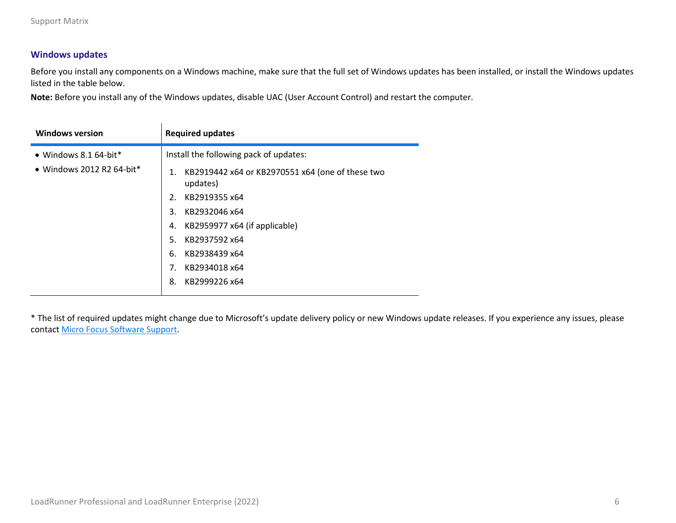#### <span id="page-5-0"></span>**Windows updates**

Before you install any components on a Windows machine, make sure that the full set of Windows updates has been installed, or install the Windows updates listed in the table below.

**Note:** Before you install any of the Windows updates, disable UAC (User Account Control) and restart the computer.

| <b>Windows version</b>            | <b>Required updates</b>                                            |
|-----------------------------------|--------------------------------------------------------------------|
| $\bullet$ Windows 8.1 64-bit*     | Install the following pack of updates:                             |
| $\bullet$ Windows 2012 R2 64-bit* | KB2919442 x64 or KB2970551 x64 (one of these two<br>1.<br>updates) |
|                                   | KB2919355 x64<br>2.                                                |
|                                   | KB2932046 x64<br>3.                                                |
|                                   | KB2959977 x64 (if applicable)<br>4.                                |
|                                   | KB2937592 x64<br>5.                                                |
|                                   | KB2938439 x64<br>6.                                                |
|                                   | KB2934018 x64<br>7.                                                |
|                                   | 8.<br>KB2999226 x64                                                |

\* The list of required updates might change due to Microsoft's update delivery policy or new Windows update releases. If you experience any issues, please contact Micro Focus [Software Support.](https://www.microfocus.com/en-us/support)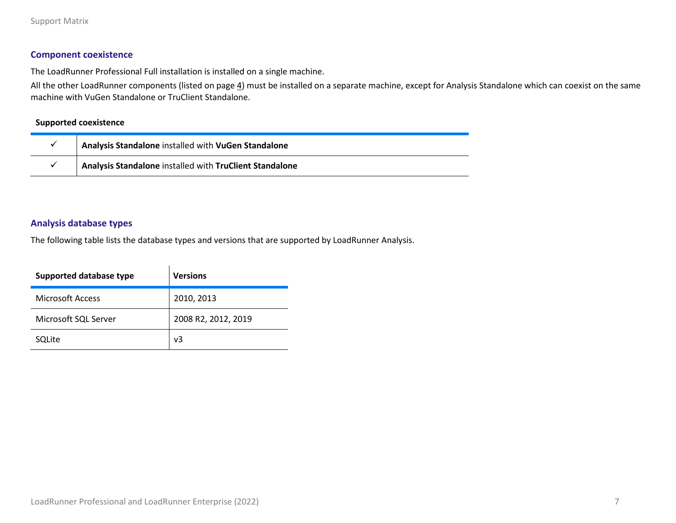#### **Component coexistence**

The LoadRunner Professional Full installation is installed on a single machine.

All the other LoadRunner components (listed on page [4\)](#page-3-1) must be installed on a separate machine, except for Analysis Standalone which can coexist on the same machine with VuGen Standalone or TruClient Standalone.

#### **Supported coexistence**

| Analysis Standalone installed with VuGen Standalone     |
|---------------------------------------------------------|
| Analysis Standalone installed with TruClient Standalone |

#### **Analysis database types**

The following table lists the database types and versions that are supported by LoadRunner Analysis.

| Supported database type | <b>Versions</b>     |
|-------------------------|---------------------|
| <b>Microsoft Access</b> | 2010, 2013          |
| Microsoft SQL Server    | 2008 R2, 2012, 2019 |
| SQLite                  | v3                  |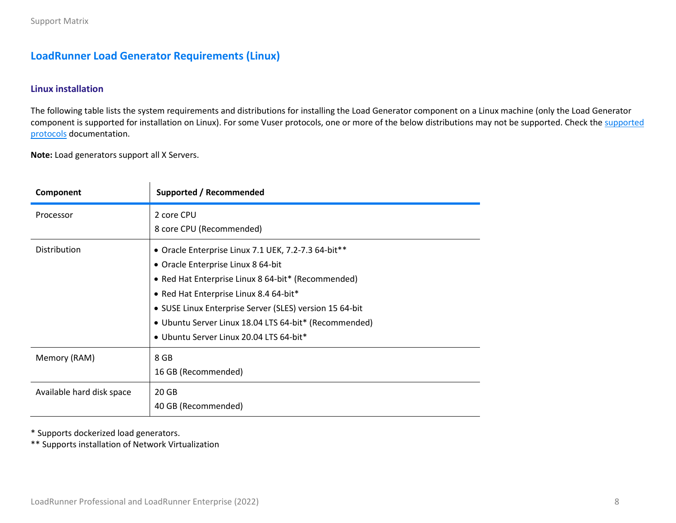# <span id="page-7-0"></span>**LoadRunner Load Generator Requirements (Linux)**

#### <span id="page-7-1"></span>**Linux installation**

The following table lists the system requirements and distributions for installing the Load Generator component on a Linux machine (only the Load Generator component is supported for installation on Linux). For some Vuser protocols, one or more of the below distributions may not be supported. Check the supported [protocols](#page-15-1) documentation.

**Note:** Load generators support all X Servers.

| Component                 | Supported / Recommended                                                                                                                                                                                                                                                                                                                                  |
|---------------------------|----------------------------------------------------------------------------------------------------------------------------------------------------------------------------------------------------------------------------------------------------------------------------------------------------------------------------------------------------------|
| Processor                 | 2 core CPU<br>8 core CPU (Recommended)                                                                                                                                                                                                                                                                                                                   |
| <b>Distribution</b>       | • Oracle Enterprise Linux 7.1 UEK, 7.2-7.3 64-bit**<br>• Oracle Enterprise Linux 8 64-bit<br>• Red Hat Enterprise Linux 8 64-bit* (Recommended)<br>• Red Hat Enterprise Linux 8.4 64-bit*<br>• SUSE Linux Enterprise Server (SLES) version 15 64-bit<br>• Ubuntu Server Linux 18.04 LTS 64-bit* (Recommended)<br>• Ubuntu Server Linux 20.04 LTS 64-bit* |
| Memory (RAM)              | 8 GB<br>16 GB (Recommended)                                                                                                                                                                                                                                                                                                                              |
| Available hard disk space | 20 GB<br>40 GB (Recommended)                                                                                                                                                                                                                                                                                                                             |

\* Supports dockerized load generators.

\*\* Supports installation of Network Virtualization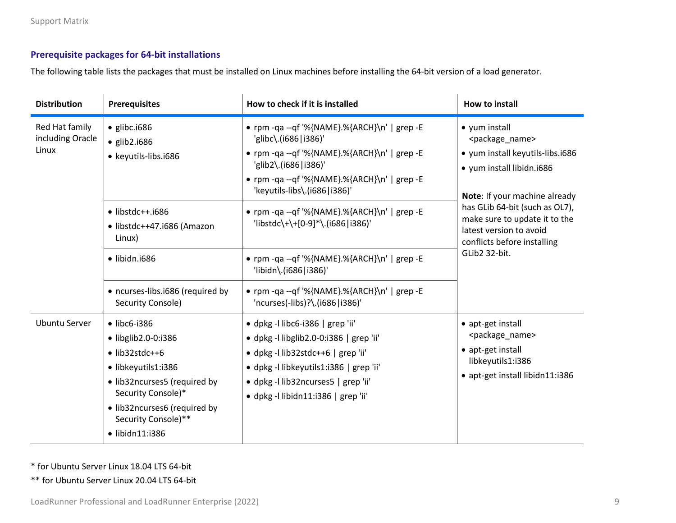## **Prerequisite packages for 64-bit installations**

The following table lists the packages that must be installed on Linux machines before installing the 64-bit version of a load generator.

| <b>Distribution</b>                         | <b>Prerequisites</b>                                                                                                                                                                                                                         | How to check if it is installed                                                                                                                                                                                                          | How to install                                                                                                                                             |
|---------------------------------------------|----------------------------------------------------------------------------------------------------------------------------------------------------------------------------------------------------------------------------------------------|------------------------------------------------------------------------------------------------------------------------------------------------------------------------------------------------------------------------------------------|------------------------------------------------------------------------------------------------------------------------------------------------------------|
| Red Hat family<br>including Oracle<br>Linux | $\bullet$ glibc.i686<br>$\bullet$ glib2.i686<br>• keyutils-libs.i686                                                                                                                                                                         | • rpm -qa --qf '%{NAME}.%{ARCH}\n'   grep -E<br>'glibc\.(i686 i386)'<br>• rpm -qa --qf '%{NAME}.%{ARCH}\n'   grep -E<br>'glib2\.(i686 i386)'<br>• rpm -qa --qf '%{NAME}.%{ARCH}\n'   grep -E                                             | • yum install<br><package_name><br/>• yum install keyutils-libs.i686<br/>• yum install libidn.i686</package_name>                                          |
|                                             | $\bullet$ libstdc++.i686<br>· libstdc++47.i686 (Amazon<br>Linux)                                                                                                                                                                             | 'keyutils-libs\.(i686 i386)'<br>• rpm -qa --qf '%{NAME}.%{ARCH}\n'   grep -E<br>'libstdc\+\+[0-9]*\.(i686 i386)'                                                                                                                         | Note: If your machine already<br>has GLib 64-bit (such as OL7),<br>make sure to update it to the<br>latest version to avoid<br>conflicts before installing |
|                                             | $\bullet$ libidn.i686<br>• ncurses-libs.i686 (required by<br>Security Console)                                                                                                                                                               | • rpm -qa --qf '%{NAME}.%{ARCH}\n'   grep -E<br>'libidn\.(i686 i386)'<br>• rpm -qa --qf '%{NAME}.%{ARCH}\n'   grep -E<br>'ncurses(-libs)?\.(i686 i386)'                                                                                  | GLib2 32-bit.                                                                                                                                              |
| <b>Ubuntu Server</b>                        | $\bullet$ libc6-i386<br>$\bullet$ libglib2.0-0:i386<br>$\bullet$ lib32stdc++6<br>· libkeyutils1:i386<br>· lib32ncurses5 (required by<br>Security Console)*<br>· lib32ncurses6 (required by<br>Security Console)**<br>$\bullet$ libidn11:i386 | · dpkg -l libc6-i386   grep 'ii'<br>· dpkg-I libglib2.0-0:i386   grep 'ii'<br>· dpkg-I lib32stdc++6   grep 'ii'<br>· dpkg -I libkeyutils1:i386   grep 'ii'<br>· dpkg -I lib32ncurses5   grep 'ii'<br>· dpkg -l libidn11:i386   grep 'ii' | • apt-get install<br><package_name><br/>• apt-get install<br/>libkeyutils1:i386<br/>· apt-get install libidn11:i386</package_name>                         |

\* for Ubuntu Server Linux 18.04 LTS 64-bit

\*\* for Ubuntu Server Linux 20.04 LTS 64-bit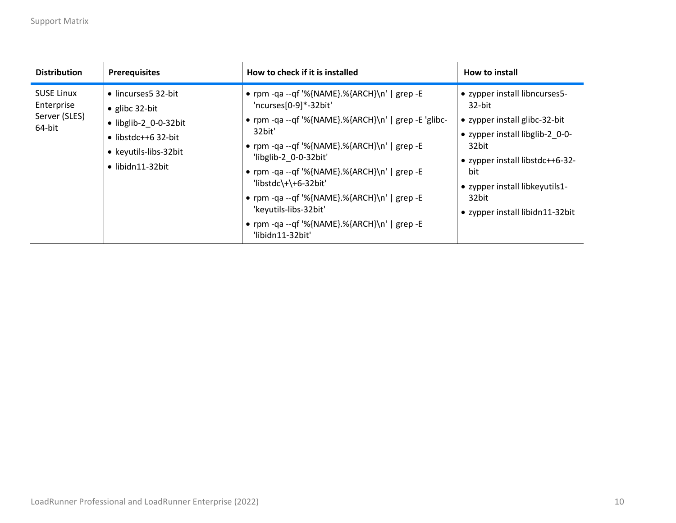| <b>Distribution</b>                                        | <b>Prerequisites</b>                                                                                                                                               | How to check if it is installed                                                                                                                                                                                                                                                                                                                                                                                                       | How to install                                                                                                                                                                                                                               |
|------------------------------------------------------------|--------------------------------------------------------------------------------------------------------------------------------------------------------------------|---------------------------------------------------------------------------------------------------------------------------------------------------------------------------------------------------------------------------------------------------------------------------------------------------------------------------------------------------------------------------------------------------------------------------------------|----------------------------------------------------------------------------------------------------------------------------------------------------------------------------------------------------------------------------------------------|
| <b>SUSE Linux</b><br>Enterprise<br>Server (SLES)<br>64-bit | • lincurses5 32-bit<br>$\bullet$ glibc 32-bit<br>$\bullet$ libglib-2 0-0-32bit<br>$\bullet$ libstdc++6 32-bit<br>• keyutils-libs-32bit<br>$\bullet$ libidn11-32bit | • rpm -qa --qf '%{NAME}.%{ARCH}\n'   grep -E<br>'ncurses[0-9]*-32bit'<br>• rpm -qa --qf '%{NAME}.%{ARCH}\n'   grep -E 'glibc-<br>32bit'<br>• rpm -qa --qf '%{NAME}.%{ARCH}\n'   grep -E<br>'libglib-2 0-0-32bit'<br>• rpm -qa --qf '%{NAME}.%{ARCH}\n'   grep -E<br>'libstdc\+\+6-32bit'<br>• rpm -qa --qf '%{NAME}.%{ARCH}\n'   grep -E<br>'keyutils-libs-32bit'<br>• rpm -qa --qf '%{NAME}.%{ARCH}\n'   grep -E<br>'libidn11-32bit' | • zypper install libncurses5-<br>32-bit<br>• zypper install glibc-32-bit<br>• zypper install libglib-2 0-0-<br>32bit<br>• zypper install libstdc++6-32-<br>bit<br>• zypper install libkeyutils1-<br>32bit<br>• zypper install libidn11-32bit |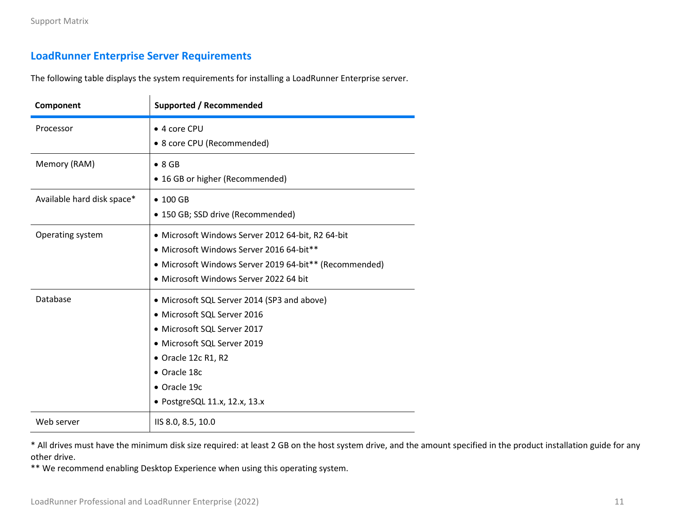# <span id="page-10-0"></span>**LoadRunner Enterprise Server Requirements**

The following table displays the system requirements for installing a LoadRunner Enterprise server.

| Component                  | <b>Supported / Recommended</b>                                                                                                                                                                                                   |  |
|----------------------------|----------------------------------------------------------------------------------------------------------------------------------------------------------------------------------------------------------------------------------|--|
| Processor                  | • 4 core CPU<br>• 8 core CPU (Recommended)                                                                                                                                                                                       |  |
| Memory (RAM)               | $\bullet$ 8 GB<br>• 16 GB or higher (Recommended)                                                                                                                                                                                |  |
| Available hard disk space* | $\bullet$ 100 GB<br>• 150 GB; SSD drive (Recommended)                                                                                                                                                                            |  |
| Operating system           | · Microsoft Windows Server 2012 64-bit, R2 64-bit<br>· Microsoft Windows Server 2016 64-bit**<br>• Microsoft Windows Server 2019 64-bit** (Recommended)<br>• Microsoft Windows Server 2022 64 bit                                |  |
| Database                   | • Microsoft SQL Server 2014 (SP3 and above)<br>• Microsoft SQL Server 2016<br>• Microsoft SQL Server 2017<br>• Microsoft SQL Server 2019<br>• Oracle 12c R1, R2<br>• Oracle 18c<br>• Oracle 19c<br>• PostgreSQL 11.x, 12.x, 13.x |  |
| Web server                 | IIS 8.0, 8.5, 10.0                                                                                                                                                                                                               |  |

\* All drives must have the minimum disk size required: at least 2 GB on the host system drive, and the amount specified in the product installation guide for any other drive.

\*\* We recommend enabling Desktop Experience when using this operating system.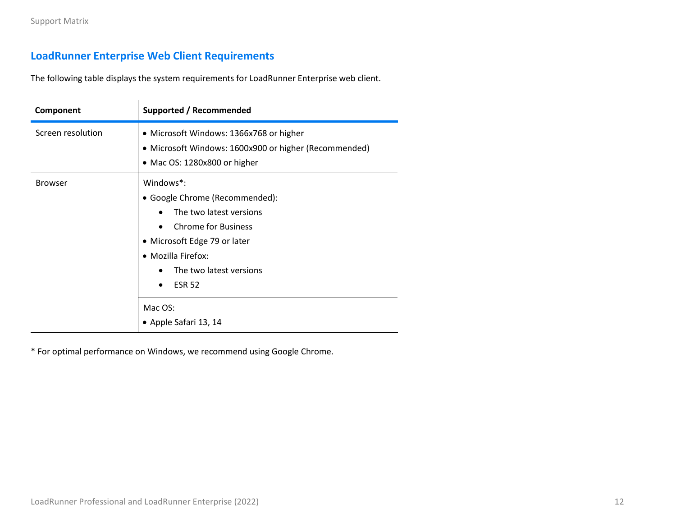# <span id="page-11-0"></span>**LoadRunner Enterprise Web Client Requirements**

The following table displays the system requirements for LoadRunner Enterprise web client.

| Component         | <b>Supported / Recommended</b>                                                                                                                                                                                                                                            |  |  |
|-------------------|---------------------------------------------------------------------------------------------------------------------------------------------------------------------------------------------------------------------------------------------------------------------------|--|--|
| Screen resolution | • Microsoft Windows: 1366x768 or higher<br>• Microsoft Windows: 1600x900 or higher (Recommended)<br>• Mac OS: 1280x800 or higher                                                                                                                                          |  |  |
| <b>Browser</b>    | Windows <sup>*</sup> :<br>• Google Chrome (Recommended):<br>The two latest versions<br><b>Chrome for Business</b><br>$\bullet$<br>• Microsoft Edge 79 or later<br>• Mozilla Firefox:<br>The two latest versions<br><b>ESR 52</b><br>٠<br>Mac OS:<br>• Apple Safari 13, 14 |  |  |

\* For optimal performance on Windows, we recommend using Google Chrome.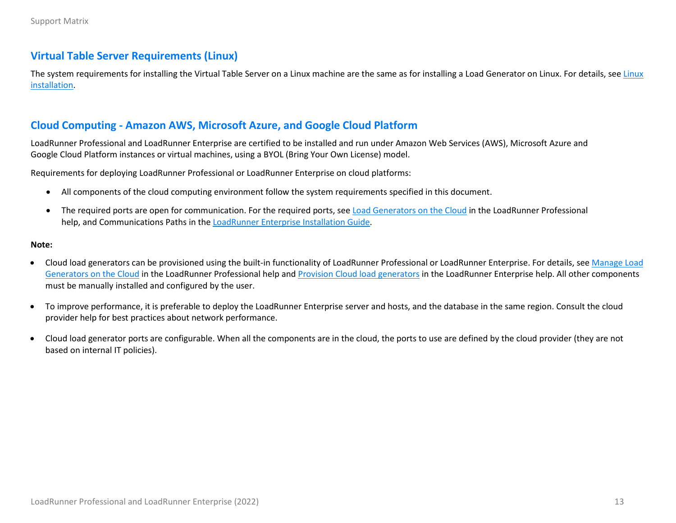## <span id="page-12-0"></span>**Virtual Table Server Requirements (Linux)**

The system requirements for installing the Virtual Table Server on a [Linux](#page-7-1) machine are the same as for installing a Load Generator on Linux. For details, see Linux [installation.](#page-7-1)

## <span id="page-12-1"></span>**Cloud Computing - Amazon AWS, Microsoft Azure, and Google Cloud Platform**

LoadRunner Professional and LoadRunner Enterprise are certified to be installed and run under Amazon Web Services (AWS), Microsoft Azure and Google Cloud Platform instances or virtual machines, using a BYOL (Bring Your Own License) model.

Requirements for deploying LoadRunner Professional or LoadRunner Enterprise on cloud platforms:

- All components of the cloud computing environment follow the system requirements specified in this document.
- The required ports are open for communication. For the required ports, see [Load Generators on the Cloud](https://admhelp.microfocus.com/lr/en/latest/help/WebHelp/Content/Controller/c_lg_cloud_account.htm) in the LoadRunner Professional help, and Communications Paths in the [LoadRunner Enterprise](https://admhelp.microfocus.com/lre/en/latest/pdfs/PC_Install.pdf) Installation Guide.

#### **Note:**

- Cloud load generators can be provisioned using the built-in functionality of LoadRunner Professional or LoadRunner Enterprise. For details, see Manage Load [Generators on the Cloud](https://admhelp.microfocus.com/lr/en/latest/help/WebHelp/Content/Controller/t_prvsn_cloud_accounts.htm) in the LoadRunner Professional help and [Provision Cloud load generators](https://admhelp.microfocus.com/lre/en/latest/online_help/Content/PC/Provision-Cloud-Hosts.htm) in the LoadRunner Enterprise help. All other components must be manually installed and configured by the user.
- To improve performance, it is preferable to deploy the LoadRunner Enterprise server and hosts, and the database in the same region. Consult the cloud provider help for best practices about network performance.
- Cloud load generator ports are configurable. When all the components are in the cloud, the ports to use are defined by the cloud provider (they are not based on internal IT policies).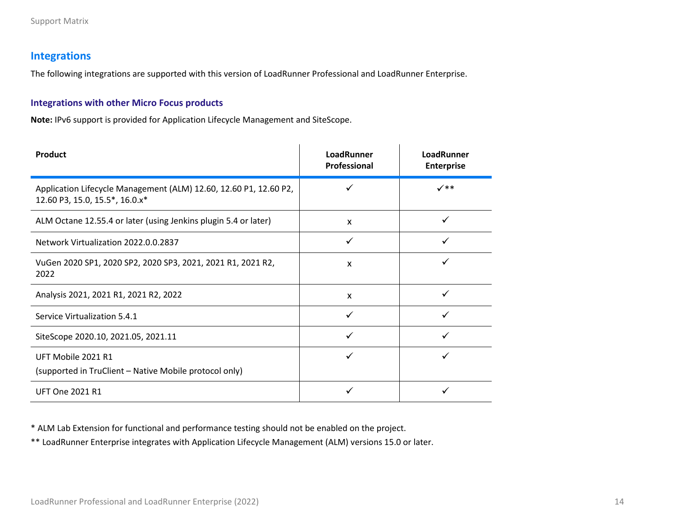# <span id="page-13-0"></span>**Integrations**

The following integrations are supported with this version of LoadRunner Professional and LoadRunner Enterprise.

#### **Integrations with other Micro Focus products**

**Note:** IPv6 support is provided for Application Lifecycle Management and SiteScope.

| Product                                                                                             | <b>LoadRunner</b><br>Professional | LoadRunner<br><b>Enterprise</b> |
|-----------------------------------------------------------------------------------------------------|-----------------------------------|---------------------------------|
| Application Lifecycle Management (ALM) 12.60, 12.60 P1, 12.60 P2,<br>12.60 P3, 15.0, 15.5*, 16.0.x* |                                   | $\checkmark$                    |
| ALM Octane 12.55.4 or later (using Jenkins plugin 5.4 or later)                                     | X                                 |                                 |
| Network Virtualization 2022.0.0.2837                                                                |                                   |                                 |
| VuGen 2020 SP1, 2020 SP2, 2020 SP3, 2021, 2021 R1, 2021 R2,<br>2022                                 | $\boldsymbol{\mathsf{x}}$         |                                 |
| Analysis 2021, 2021 R1, 2021 R2, 2022                                                               | X                                 | ✓                               |
| Service Virtualization 5.4.1                                                                        |                                   |                                 |
| SiteScope 2020.10, 2021.05, 2021.11                                                                 |                                   |                                 |
| UFT Mobile 2021 R1<br>(supported in TruClient - Native Mobile protocol only)                        |                                   |                                 |
| <b>UFT One 2021 R1</b>                                                                              |                                   |                                 |

\* ALM Lab Extension for functional and performance testing should not be enabled on the project.

\*\* LoadRunner Enterprise integrates with Application Lifecycle Management (ALM) versions 15.0 or later.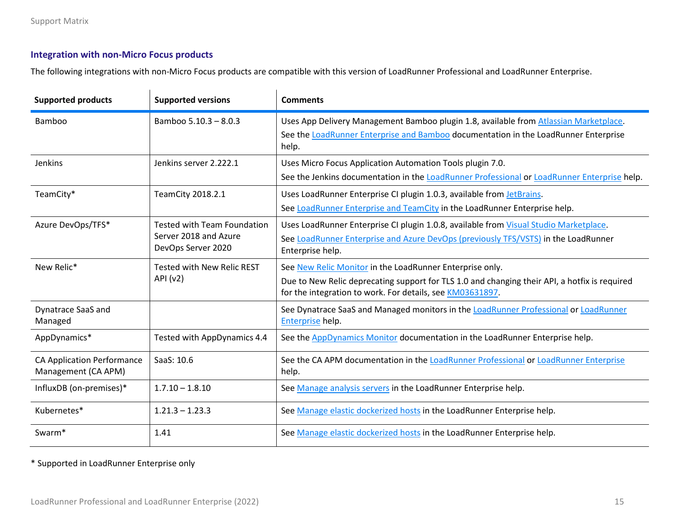## **Integration with non-Micro Focus products**

The following integrations with non-Micro Focus products are compatible with this version of LoadRunner Professional and LoadRunner Enterprise.

| <b>Supported products</b>                                | <b>Supported versions</b>                                                         | <b>Comments</b>                                                                                                                                                                                                        |  |
|----------------------------------------------------------|-----------------------------------------------------------------------------------|------------------------------------------------------------------------------------------------------------------------------------------------------------------------------------------------------------------------|--|
| Bamboo                                                   | Bamboo 5.10.3 - 8.0.3                                                             | Uses App Delivery Management Bamboo plugin 1.8, available from Atlassian Marketplace.<br>See the LoadRunner Enterprise and Bamboo documentation in the LoadRunner Enterprise<br>help.                                  |  |
| Jenkins                                                  | Jenkins server 2.222.1                                                            | Uses Micro Focus Application Automation Tools plugin 7.0.<br>See the Jenkins documentation in the LoadRunner Professional or LoadRunner Enterprise help.                                                               |  |
| TeamCity*                                                | TeamCity 2018.2.1                                                                 | Uses LoadRunner Enterprise CI plugin 1.0.3, available from JetBrains.<br>See LoadRunner Enterprise and TeamCity in the LoadRunner Enterprise help.                                                                     |  |
| Azure DevOps/TFS*                                        | <b>Tested with Team Foundation</b><br>Server 2018 and Azure<br>DevOps Server 2020 | Uses LoadRunner Enterprise CI plugin 1.0.8, available from Visual Studio Marketplace.<br>See LoadRunner Enterprise and Azure DevOps (previously TFS/VSTS) in the LoadRunner<br>Enterprise help.                        |  |
| New Relic*                                               | <b>Tested with New Relic REST</b><br>API (v2)                                     | See New Relic Monitor in the LoadRunner Enterprise only.<br>Due to New Relic deprecating support for TLS 1.0 and changing their API, a hotfix is required<br>for the integration to work. For details, see KM03631897. |  |
| Dynatrace SaaS and<br>Managed                            |                                                                                   | See Dynatrace SaaS and Managed monitors in the LoadRunner Professional or LoadRunner<br>Enterprise help.                                                                                                               |  |
| AppDynamics*                                             | Tested with AppDynamics 4.4                                                       | See the <b>AppDynamics Monitor</b> documentation in the LoadRunner Enterprise help.                                                                                                                                    |  |
| <b>CA Application Performance</b><br>Management (CA APM) | SaaS: 10.6                                                                        | See the CA APM documentation in the LoadRunner Professional or LoadRunner Enterprise<br>help.                                                                                                                          |  |
| InfluxDB (on-premises)*                                  | $1.7.10 - 1.8.10$                                                                 | See Manage analysis servers in the LoadRunner Enterprise help.                                                                                                                                                         |  |
| Kubernetes*                                              | $1.21.3 - 1.23.3$                                                                 | See Manage elastic dockerized hosts in the LoadRunner Enterprise help.                                                                                                                                                 |  |
| Swarm <sup>*</sup>                                       | 1.41                                                                              | See Manage elastic dockerized hosts in the LoadRunner Enterprise help.                                                                                                                                                 |  |

\* Supported in LoadRunner Enterprise only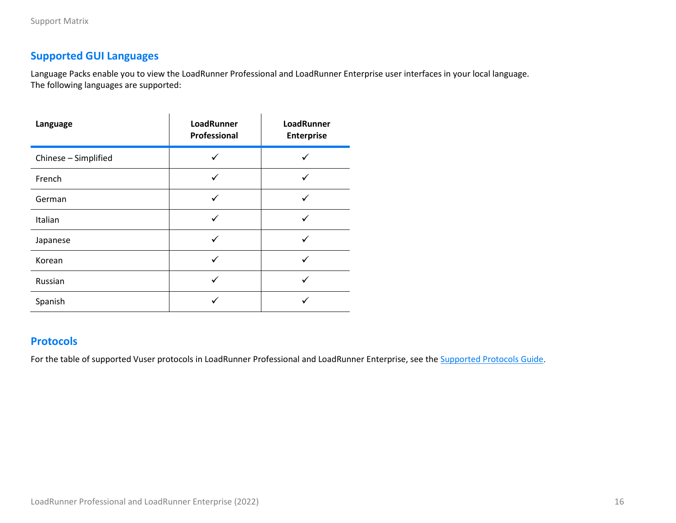# <span id="page-15-0"></span>**Supported GUI Languages**

Language Packs enable you to view the LoadRunner Professional and LoadRunner Enterprise user interfaces in your local language. The following languages are supported:

| Language             | LoadRunner<br>Professional | LoadRunner<br><b>Enterprise</b> |
|----------------------|----------------------------|---------------------------------|
| Chinese - Simplified |                            |                                 |
| French               | ✓                          |                                 |
| German               |                            |                                 |
| Italian              |                            |                                 |
| Japanese             |                            |                                 |
| Korean               |                            |                                 |
| Russian              |                            |                                 |
| Spanish              |                            |                                 |

# <span id="page-15-1"></span>**Protocols**

For the table of supported Vuser protocols in LoadRunner Professional and LoadRunner Enterprise, see the **Supported [Protocols Guide](https://admhelp.microfocus.com/documents/lre/Supported_Protocols/2022/LR_Protocols.pdf)**.